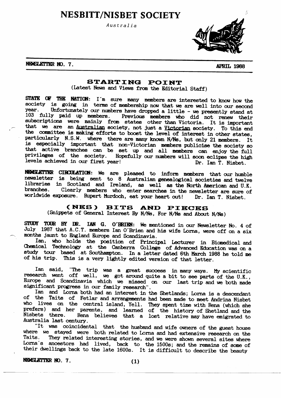**NESBITT/NISBET SOCIETY** 

Australia



NEWSLETTER NO. 7.

**APRIL 1988** 

# STARTING POINT

(Latest News and Views from the Editorial Staff)

STATE OF THE NATION: I'm sure many members are interested to know how the society is going in terms of membership now that we are well into our second year. Unfortunately our numbers have dropped a little - we presently stand at 103 fully paid up members. Previous members who did not renew their subscriptions were mainly from states other than Victoria. It is important that we are an Australian society, not just a Victorian society. To this end the committee is making efforts to boost the level of interest in other states, particularly N.S.W. where there are many known N/Ns, but only 21 members. It is especially important that non-Victorian members publicise the society so that active branches can be set up and all members can enjoy the full privileges of the society. Hopefully our numbers will soon eclipse the high levels achieved in our first year! Dr. Ian T. Nisbet.

NEWSLETTER CIRCULATION: We are pleased to inform members that our humble newsletter is being sent to 8 Australian genealogical societies and twelve libraries in Scotland and Ireland, as well as the North American and U.K. branches. Clearly members who enter searches in the newsletter are sure of worldwide exposure. Rupert Murdoch, eat your heart out! Dr. Ian T. Nisbet.

#### (NES) **BITS** AND PIECES

(Snippets of General Interest By N/Ns, For N/Ns and About N/Ns)

STUDY TOUR BY DR. IAN G. O'BRIEN: We mentioned in our Newsletter No. 4 of July 1987 that A.C.T. members Ian O'Brien and his wife Lorna, were off on a six months jaunt to England Europe and Scandinavia.

Ian, who holds the position of Principal Lecturer in Biomedical and<br>Chemical Technology at the Canberra College of Advanced Education was on a study tour based at Southampton. In a letter dated 6th March 1988 he told me of his trip. This is a very lightly edited version of that letter.

Ian said, "The trip was a great success in many ways. My scientific research went off well, we got around quite a bit to see parts of the U.K., Europe and Scandinavia which we missed on our last trip and we both made significant progress in our family research".

Ian and Lorna both had an interest in the Shetlands; Lorna is a descendant of the Taits of Fetlar and arrangements had been made to meet Andrina Nisbet who lives on the central island, Yell. They spent time with Rena (which she prefers) and her parents, and learned of the history of Shetland and the Nisbets there. Rena believes that a lost relative may have emigrated to Australia last century.

"It was coincidental that the husband and wife owners of the guest house where we stayed were both related to Lorna and had extensive research on the They related interesting stories, and we were shown several sites where Taits. Lorna's ancestors had lived, back to the 1500s; and the remains of some of their dwellings back to the late 1600s. It is difficult to describe the beauty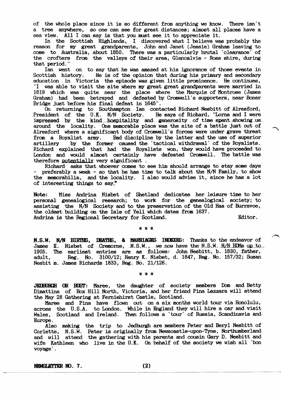of the whole place since it is so different from anything we know. There isn't a tree anywhere, so one can see for great distances; almost all places have a sea view. All I can say is that you must see it to appreciate it.

In the Scottish Highlands, I discovered what I believe was probably the reason for my great grandparents, John and Janet (Jessie) Graham leaving to come to Australia, about 1850. There was a particularly brutal 'clearance' of the crofters from the valleys of their area, Glencalvie - Ross shire, during that period."

Ian went on to say that he was amazed at his ignorance of those events in He is of the opinion that during his primary and secondary Scottish history. education in Victoria the episode was given little prominence. He continues, "I was able to visit the site where my great great grandparents were married in 1819 which was quite near the place where the Marquis of Montrose (James Graham) had been betrayed and defeated by Cromwell's supporters, near Boner Bridge just before his final defeat in 1645".<br>On returning to Southampton Ian contacted Richard Nesbitt of Alresford,

President of the U.K. N/N Society. He says of Richard, "Lorna and I were impressed by the kind hospitality and generosity of time spent showing us. around the locality. One memorable place was the site of a battle just out of Alresford where a significant body of Cromwell's forces were under grave threat Bad discipline by the latter and the use of superior from a Royalist army. by the former caused the 'tactical withdrawal' of the Royalists. artillery Richard explained that had the Royalists won, they would have proceeded to London and would almost certainly have defeated Cromwell. The battle was therefore potentially very significant.

Richard asks that whoever comes to see him should arrange to stay some days - preferably a week - so that he has time to talk about the N/N Family, to show the memorabilia, and the locality. I also would advise it, since he has a lot of interesting things to say."

Miss Andrina Nisbet of Shetland dedicates her leisure time to her Note: personal genealogical research; to work for the genealogical society; to assisting the N/N Society and to the preservation of the Old Haa of Burravoe, the oldest building on the Isle of Yell which dates from 1637. Editor. Andrina is the Regional Secretary for Scotland.

\* \* \*

N.S.W. N/N BIRTHS, DEATHS, & MARRIAGES INDEXES: Thanks to the endeavor of James E. Nisbet of Cremorne, N.S.W., we now have the N.S.W. N/N BDMs up to 1905. The earliest entries are as follows: John Nesbitt, b. 1830, father, Reg. No. 3100/12; Henry K. Nisbet, d. 1847, Reg. No. 157/32; Susan adult. Nesbit m. James Richards 1833, Reg. No. 21/126.

\* \* \*

JEDBURGH OR BUST: Maree, the daughter of society members Dom and Betty Dimattina of Box Hill North, Victoria, and her friend Pina Lazzara will attend the May 28 Gathering at Ferniehirst Castle, Scotland.

Maree and Pina have flown out on a six months world tour via Honolulu, across the U.S.A. to London. While in England they will hire a car and visit Wales, Scotland and Ireland. Then follows a 'tour' of Russia, Scandinavia and Europe.

Also making the trip to Jedburgh are members Peter and Beryl Nesbitt of Corlette, N.S.W. Peter is originally from Newscastle-upon-Tyne, Northumberland<br>and will attend the gathering with his parents and cousin Gary D. Nesbitt and wife Kathleen who live in the U.K. On behalf of the society we wish all `bon voyage.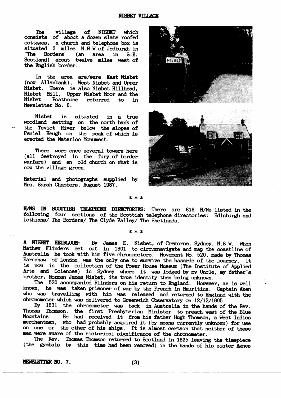**The** village of **NISBET** which consists of about a dozen slate roofed cottages, a church and telephone box is situated 3 miles N.N.W of Jedburgh in "The Borders" (an area in  $S.E.$ Scotland) about twelve miles west of the English border.

In the area are/were East Nisbet (now Allanbank), West Nisbet and Upper Nisbet. There is also Nisbet Hillhead, Nisbet Mill, Upper Nisbet Moor and the Nisbet Boathouse referred  $\mathbf{t}$ in Newsletter No. 6.

is situated Nisbet in a true woodland setting on the north bank of the Teviot River below the slopes of Peniel Heugh on the peak of which is erected the Waterloo Monument.

There were once several towers here (all destroyed in the fury of border warfare) and an old church on what is now the village green.

Material and photographs supplied by Mrs. Sarah Chambers, August 1987.



#### \* \* \*

N/NS IN SCOTTISH TELEPHONE DIRECTORIES: There are 618 N/Ns listed in the following four sections of the Scottish telephone directories: Edinburgh and Lothians/ The Borders/ The Clyde Valley/ The Shetlands.

#### $* * *$

A NISBET HEIRLOCM: By James E. Nisbet, of Cremorne, Sydney, N.S.W. When Mathew Flinders set out in 1801 to circumnavigate and map the coastline of Australia he took with him five chronometers. Movement No. 520, made by Thomas Earnshaw of London, was the only one to survive the hazards of the journey. It is now in the collection of the Power House Museum (The Institute of Applied Arts and Sciences) in Sydney where it was lodged by my Uncle, my father's brother, Norman James Nisbet, its true identity then being unknown.

The 520 accompanied Flinders on his return to England. However, as is well known, he was taken prisoner of war by the French in Mauritius. Captain Aken who was travelling with him was released and returned to England with the chronometer which was delivered to Greenwich Observatory on 12/12/1805.

By 1831 the chronometer was back in Australia in the hands of the Rev. Thomson, the first Presbyterian Minister to preach west of the Blue Thomas Mountains. He had received it from his father Hugh Thomson, a West Indies merchantman, who had probably acquired it (by means currently unknown) for use on one or the other of his ships. It is almost certain that neither of these men were aware of the historical significance of the chronometer.

The Rev. Thomas Thomson returned to Scotland in 1835 leaving the timepiece (the gymbals by this time had been removed) in the hands of his sister Agnes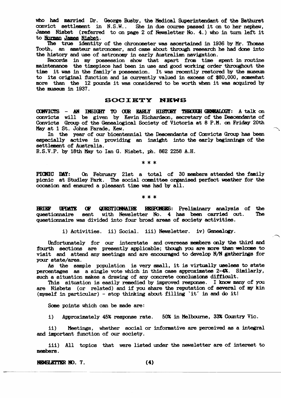who had married Dr. George Busby, the Medical Superintendant of the Bathurst convict settlement in N.S.W.. She in due course passed it on to her nephew, James Nisbet (referred to on page 2 of Newsletter No. 4.) who in turn left it to Norman James Nisbet.

The true identity of the chronometer was ascertained in 1936 by Mr. Thomas Tooth, an amateur astronomer, and came about through research he had done into the history and use of astronomy in early Australian navigation.

Records in my possession show that apart from time spent in routine maintenance the timepiece had been in use and good working order throughout the time it was in the family's possession. It was recently restored by the museum to its original function and is currently valued in excess of \$80,000, somewhat more than the 12 pounds it was considered to be worth when it was acquired by the museum in 1937.

#### **SOCIETY NEWS**

**CONVICTS** - AN INSIGHT TO OUR KARLY HISTORY THROUGH GENEALOGY: A talk on convicts will be given by Kevin Richardson, secretary of the Descendants of Convicts Group of the Genealogical Society of Victoria at 8 P.M. on Friday 20th May at 1 St. Johns Parade, Kew.

In the year of our bicentennial the Descendants of Convicts Group has been especially active in providing an insight into the early beginnings of the settlement of Australia.

R.S.V.P. by 18th May to Ian G. Nisbet, ph. 862 2258 A.H.

\* \* \*

On February 21st a total of 30 members attended the family PICNIC DAY: picnic at Studley Park. The social committee organised perfect weather for the occasion and ensured a pleasant time was had by all.

#### \* \* \*

**BRIKE** Œ **QUESTIONNAIRE** RESPONSES: Preliminary analysis of the **UPDATE** questionnaire sent with Newsletter No. 4 has been carried out. **The** questionnaire was divided into four broad areas of society activities.

i) Activities. ii) Social. iii) Newsletter. iv) Genealogy.

Unfortunately for our interstate and overseas members only the third and fourth sections are presently applicable; though you are more than welcome to visit and attend any meetings and are encouraged to develop N/N gatherings for your state/area.

As the sample population is very small, it is virtually useless to state percentages as a single vote which in this case approximates 2-4%. Similarly, such a situation makes a drawing of any concrete conclusions difficult.

This situation is easily remedied by improved response. I know many of you are Nisbets (or related) and if you share the reputation of several of my kin (myself in particular) - stop thinking about filling 'it' in and do it!

Some points which can be made are:

Approximately 45% response rate. 50% in Melbourne, 33% Country Vic.  $1)$ 

 $\mathbf{ii}$ Meetings, whether social or informative are perceived as a integral and important function of our society.

iii) All topics that were listed under the newsletter are of interest to members.

NEWSLETTER NO. 7.

 $(4)$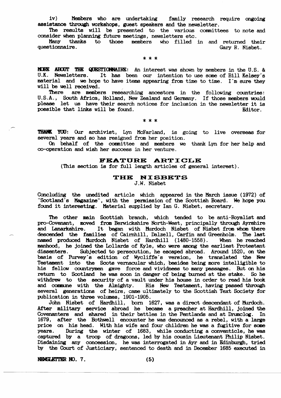Members who are undertaking iv) family research require ongoing assistance through workshops, guest speakers and the newsletter.

The results will be presented to the various committees to note and consider when planning future meetings, newsletters etc.

Many thanks to those members who filled in and returned their questionnaire. Gary R. Nisbet.

\* \* \*

MORE ABOUT THE QUESTIONNAIRE: An interest was shown by members in the U.S. & U.K. Newsletters. It has been our intention to use some of Bill Kelsey's material and we hope to have items appearing from time to time. I'm sure they will be well received.

are members researching ancestors in the following countries: There U.S.A., South Africa, Holland, New Zealand and Germany. If those members would please let us have their search notices for inclusion in the newsletter it is possible that links will be found. Editor.

\* \* \*

THANK YOU: Our archivist, Lyn McFarland, is going to live overseas for several years and so has resigned from her position.

On behalf of the committee and members we thank Lyn for her help and co-operation and wish her success in her venture.

## FEATURE ARTICLE

(This section is for full length articles of general interest).

## THE NISBETS

J.W. Nisbet

Concluding the unedited article which appeared in the March issue (1972) of "Scotland's Magazine", with the permission of the Scottish Board. We hope you found it interesting. Material supplied by Ian G. Nisbet, secretary.

The other main Scottish branch, which tended to be anti-Royalist and pro-Covenant, moved from Berwickshire North-West, principally through Ayrshire and Lanarkshire. It began with Murdoch Nisbet of Nisbet from whom there descended the families of Cairnhill, Dalzell, Carfin and Greenholm. The last named produced Murdoch Nisbet of Hardhill (1480-1558). When he reached manhood, he joined the Lollards of Kyle, who were among the earliest Protestant dissenters. Subjected to persecution, he escaped abroad. Around 1520, on the basis of Purvey's edition of Wycliffe's version, he translated the New Testament into the Scots vernacular which, besides being more intelligible to his fellow countrymen gave force and vividness to many passages. But on his return to Scotland he was soon in danger of being burned at the stake. So he withdrew to the security of a vault under his house in order to read his book and commune with the Almighty. His New Testament, having passed through several generations of heirs, came ultimately to the Scottish Text Society for publication in three volumes, 1901-1905.

John Nisbet of Hardhill, born 1627, was a direct descendant of Murdoch. After military service abroad he became a preacher at Hardhill, joined the Covenanters and shared in their battles in the Pentlands and at Drumclog. In 1679, after the Bothwell encounter he was denounced as a rebel, with a large price on his head. With his wife and four children he was a fugitive for some During the winter of 1683, while conducting a conventicle, he was years. captured by a troop of dragoons, led by his cousin Lieutenant Philip Nisbet. Disdaining any concession, he was interrogated in Ayr and in Edinburgh, tried<br>by the Court of Justiciary, sentenced to death and in December 1685 executed in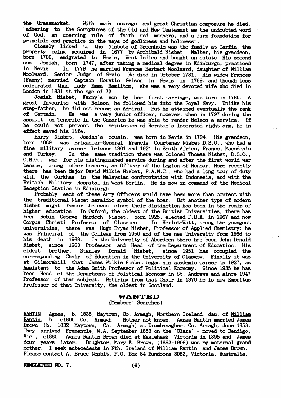the Grassmarket. With much courage and great Christian composure he died. "adhering to the Scriptures of the Old and New Testament as the undoubted word of God, an unerring rule of faith and manners, and a firm foundation for principle and practice in the ways of godliness and holiness".

Closely linked to the Nisbets of Greenholm was the family at Carfin, the property being acquired in 1677 by Archibald Nisbet. Walter, his grandson, born 1706, emigrated to Nevis, West Indies and bought an estate. His second son, Josiah, born 1747, after taking a medical degree in Edinburgh, practiced<br>in Nevis. In 1779 he married Frances Herbert Woolward, daughter of William Woolward, Senior Judge of Nevis. He died in October 1781. His widow Frances (Fanny) married Captain Horatio Nelson in Nevis in 1789, and though less celebrated than Lady Emma Hamilton, she was a very devoted wife who died in London in 1831 at the age of 73.

Josiah Nisbet, Fanny's son by her first marriage, was born in 1780. A great favourite with Nelson, he followed him into the Royal Navy. Unlike his step-father, he did not become an Admiral. But he attained eventually the rank of Captain. He was a very junior officer, however, when in 1797 during the assault on Tenerife in the Canaries he was able to render Nelson a service. If he could not prevent the amputation of Horatio's lacerated right arm, he in effect saved his life.

Harry Nisbet, Josiah's cousin, was born in Nevis in 1794. His grandson, born 1869, was Brigadier-General Francis Courtenay Nisbet D.S.O., who had a fine military career between 1901 and 1921 in South Africa, France, Macedonia<br>and Turkey. In the same tradition there was Colonel Thomas Nisbet, D.S.O., In the same tradition there was Colonel Thomas Nisbet, D.S.O., C.M.G., who for his distinguished service during and after the first world war became, among other honours, an Officer of the Legion of Honour. More recently there has been Major David Wilkie Nisbet, R.A.M.C., who had a long tour of duty with the Gurkhas in the Malaysian confrontation with Indonesia, and with the British Military Hospital in West Berlin. He is now in command of the Medical Reception Station in Edinburgh.

Probably each of these Army Officers would have been more than content with the traditional Nisbet heraldic symbol of the boar. But another type of modern Nisbet might favour the swan, since their distinction has been in the realm of higher education. In Oxford, the oldest of the British Universities, there has been Robin George Murdoch Nisbet, born 1925, elected F.B.A. in 1967 and now Corpus Christi Professor of Classics. In Heriot-Watt, among the youngest<br>universities, there was Hugh Bryan Nisbet, Professor of Applied Chemistry: he<br>was Principal of the College from 1950 and of the new University from 1 his death in 1968. In the University of Aberdeen there has been John Donald Nisbet, since 1963 Professor and Head of the Department of Education. His since 1951 has occupied the eldest brother, Stanley Donald Nisbet, corresponding Chair of Education in the University of Glasgow. Finally it was at Gilmorehill that James Wilkie Nisbet began his academic career in 1927, as Assistant to the Adam Smith Professor of Political Economy. Since 1935 he has been Head of the Department of Political Economy in St. Andrews and since 1947 Professor of that subject. Retiring from that Chair in 1970 he is now Emeritus Professor of that University, the oldest in Scotland.

## **WANTED**

# (Members' Searches)

RANTIN, Agnes, b. 1835, Maytown, Co. Armagh, Northern Ireland: dau. of Milliam Rantin, b. c1800 Co. Armagh. Mother not known. Agnes Rantin married James Brown (b. 1832 Maytown, Co. Armagh) at Drumbanagher, Co. Armagh, June 1853. They arrived Fremantle, W.A. September 1853 on the 'Clara' - moved to Bendigo, Vic., c1860. Agnes Rantin Brown died at Eaglehawk, Victoria in 1895 and James four years later. Daughter, Mary E. Brown, (1863-1906) was my maternal grand mother. I seek antecedents in Nth. Ireland of William Rantin and James Brown. Please contact A. Bruce Nesbit, P.O. Box 84 Bundoora 3083, Victoria, Australia.